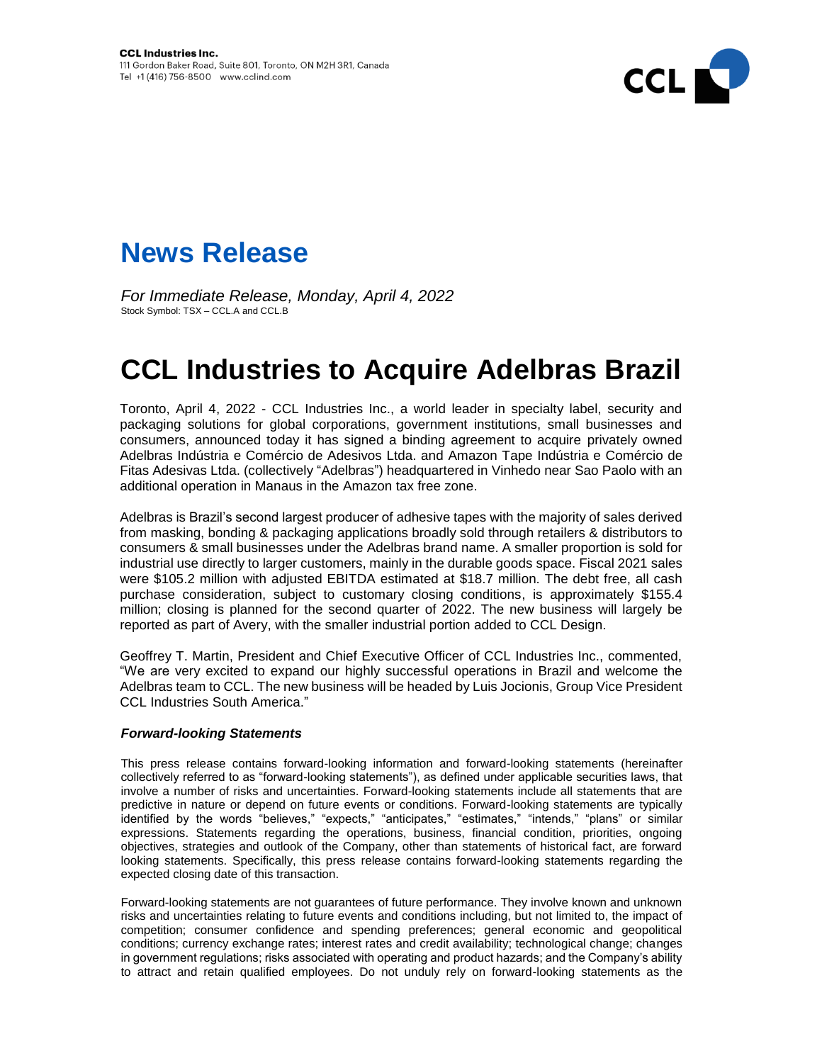



*For Immediate Release, Monday, April 4, 2022* Stock Symbol: TSX – CCL.A and CCL.B

## **CCL Industries to Acquire Adelbras Brazil**

Toronto, April 4, 2022 - CCL Industries Inc., a world leader in specialty label, security and packaging solutions for global corporations, government institutions, small businesses and consumers, announced today it has signed a binding agreement to acquire privately owned Adelbras Indústria e Comércio de Adesivos Ltda. and Amazon Tape Indústria e Comércio de Fitas Adesivas Ltda. (collectively "Adelbras") headquartered in Vinhedo near Sao Paolo with an additional operation in Manaus in the Amazon tax free zone.

Adelbras is Brazil's second largest producer of adhesive tapes with the majority of sales derived from masking, bonding & packaging applications broadly sold through retailers & distributors to consumers & small businesses under the Adelbras brand name. A smaller proportion is sold for industrial use directly to larger customers, mainly in the durable goods space. Fiscal 2021 sales were \$105.2 million with adjusted EBITDA estimated at \$18.7 million. The debt free, all cash purchase consideration, subject to customary closing conditions, is approximately \$155.4 million; closing is planned for the second quarter of 2022. The new business will largely be reported as part of Avery, with the smaller industrial portion added to CCL Design.

Geoffrey T. Martin, President and Chief Executive Officer of CCL Industries Inc., commented, "We are very excited to expand our highly successful operations in Brazil and welcome the Adelbras team to CCL. The new business will be headed by Luis Jocionis, Group Vice President CCL Industries South America."

## *Forward-looking Statements*

This press release contains forward-looking information and forward-looking statements (hereinafter collectively referred to as "forward-looking statements"), as defined under applicable securities laws, that involve a number of risks and uncertainties. Forward-looking statements include all statements that are predictive in nature or depend on future events or conditions. Forward-looking statements are typically identified by the words "believes," "expects," "anticipates," "estimates," "intends," "plans" or similar expressions. Statements regarding the operations, business, financial condition, priorities, ongoing objectives, strategies and outlook of the Company, other than statements of historical fact, are forward looking statements. Specifically, this press release contains forward-looking statements regarding the expected closing date of this transaction.

Forward-looking statements are not guarantees of future performance. They involve known and unknown risks and uncertainties relating to future events and conditions including, but not limited to, the impact of competition; consumer confidence and spending preferences; general economic and geopolitical conditions; currency exchange rates; interest rates and credit availability; technological change; changes in government regulations; risks associated with operating and product hazards; and the Company's ability to attract and retain qualified employees. Do not unduly rely on forward-looking statements as the